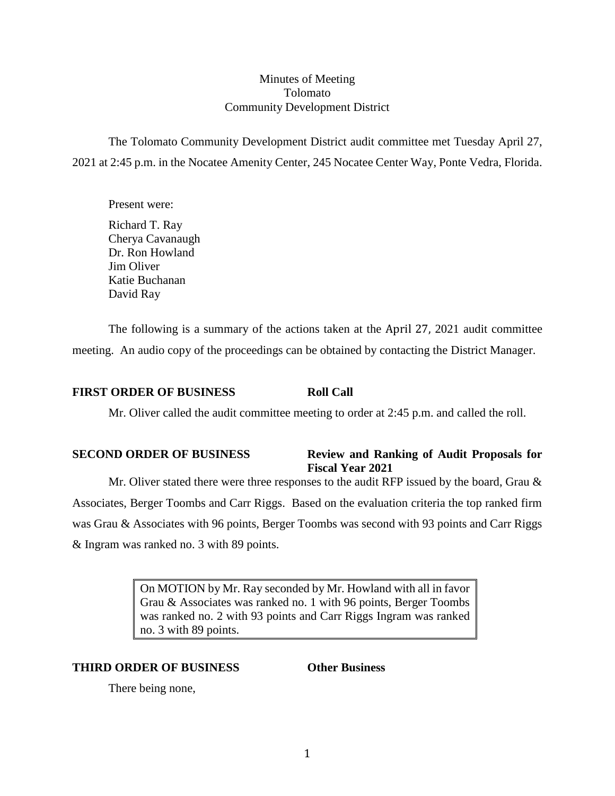## Minutes of Meeting Tolomato Community Development District

The Tolomato Community Development District audit committee met Tuesday April 27, 2021 at 2:45 p.m. in the Nocatee Amenity Center, 245 Nocatee Center Way, Ponte Vedra, Florida.

Present were:

Richard T. Ray Cherya Cavanaugh Dr. Ron Howland Jim Oliver Katie Buchanan David Ray

The following is a summary of the actions taken at the April 27, 2021 audit committee meeting. An audio copy of the proceedings can be obtained by contacting the District Manager.

## **FIRST ORDER OF BUSINESS Roll Call**

Mr. Oliver called the audit committee meeting to order at 2:45 p.m. and called the roll.

## **SECOND ORDER OF BUSINESS Review and Ranking of Audit Proposals for Fiscal Year 2021**

Mr. Oliver stated there were three responses to the audit RFP issued by the board, Grau  $\&$ Associates, Berger Toombs and Carr Riggs. Based on the evaluation criteria the top ranked firm was Grau & Associates with 96 points, Berger Toombs was second with 93 points and Carr Riggs & Ingram was ranked no. 3 with 89 points.

> On MOTION by Mr. Ray seconded by Mr. Howland with all in favor Grau & Associates was ranked no. 1 with 96 points, Berger Toombs was ranked no. 2 with 93 points and Carr Riggs Ingram was ranked no. 3 with 89 points.

## **THIRD ORDER OF BUSINESS Other Business**

There being none,